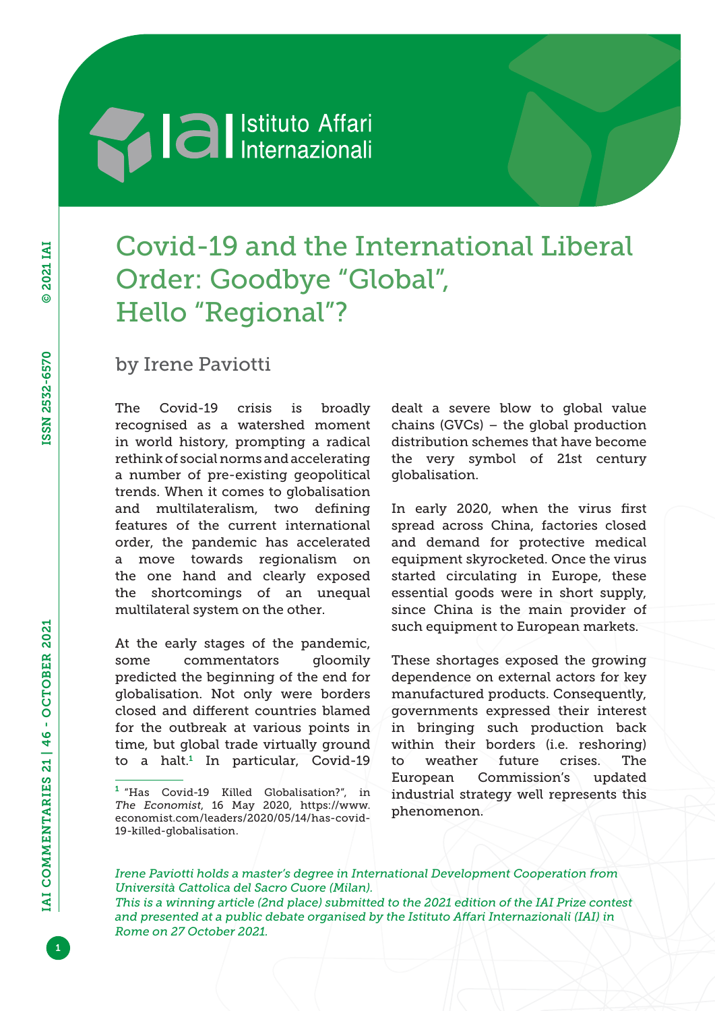# **Al al** Istituto Affari

## Covid-19 and the International Liberal Order: Goodbye "Global", Hello "Regional"?

### by Irene Paviotti

The Covid-19 crisis is broadly recognised as a watershed moment in world history, prompting a radical rethink of social norms and accelerating a number of pre-existing geopolitical trends. When it comes to globalisation and multilateralism, two defining features of the current international order, the pandemic has accelerated a move towards regionalism on the one hand and clearly exposed the shortcomings of an unequal multilateral system on the other.

At the early stages of the pandemic, some commentators gloomily predicted the beginning of the end for globalisation. Not only were borders closed and different countries blamed for the outbreak at various points in time, but global trade virtually ground to a halt.<sup>1</sup> In particular, Covid-19 dealt a severe blow to global value chains (GVCs) – the global production distribution schemes that have become the very symbol of 21st century globalisation.

In early 2020, when the virus first spread across China, factories closed and demand for protective medical equipment skyrocketed. Once the virus started circulating in Europe, these essential goods were in short supply, since China is the main provider of such equipment to European markets.

These shortages exposed the growing dependence on external actors for key manufactured products. Consequently, governments expressed their interest in bringing such production back within their borders (i.e. reshoring) to weather future crises. The European Commission's updated industrial strategy well represents this phenomenon.

*Irene Paviotti holds a master's degree in International Development Cooperation from Università Cattolica del Sacro Cuore (Milan). This is a winning article (2nd place) submitted to the 2021 edition of the IAI Prize contest* 

*and presented at a public debate organised by the Istituto Affari Internazionali (IAI) in Rome on 27 October 2021.*

<sup>1</sup> "Has Covid-19 Killed Globalisation?", in *The Economist*, 16 May 2020, [https://www.](https://www.economist.com/leaders/2020/05/14/has-covid-19-killed-globalisation) [economist.com/leaders/2020/05/14/has-covid-](https://www.economist.com/leaders/2020/05/14/has-covid-19-killed-globalisation)[19-killed-globalisation](https://www.economist.com/leaders/2020/05/14/has-covid-19-killed-globalisation).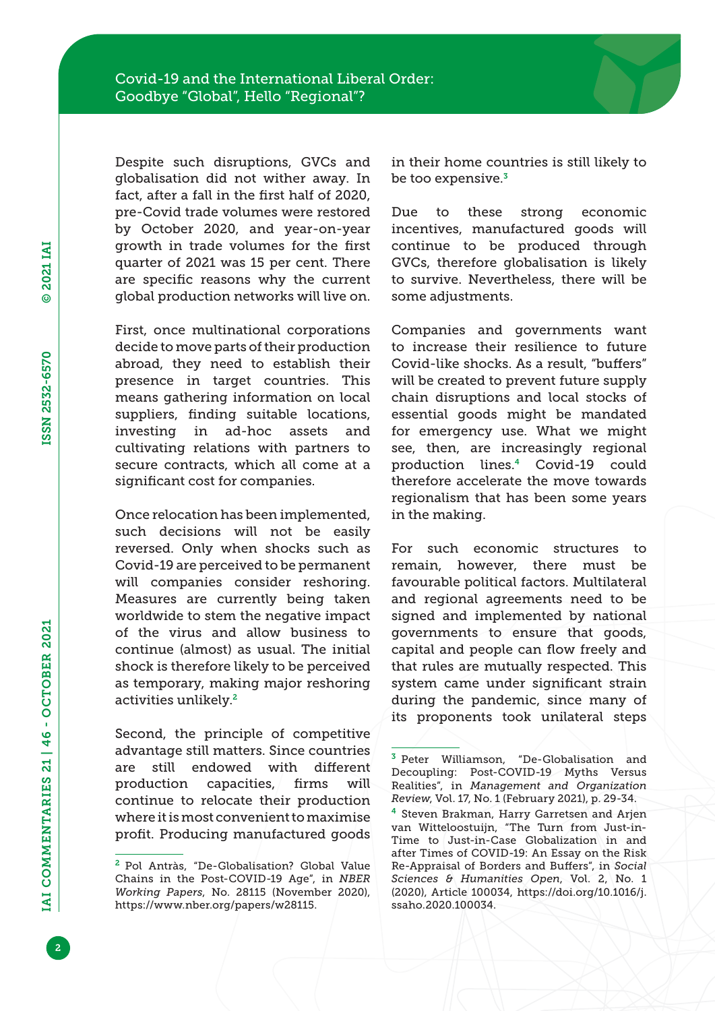Despite such disruptions, GVCs and globalisation did not wither away. In fact, after a fall in the first half of 2020, pre-Covid trade volumes were restored by October 2020, and year-on-year growth in trade volumes for the first quarter of 2021 was 15 per cent. There are specific reasons why the current global production networks will live on.

First, once multinational corporations decide to move parts of their production abroad, they need to establish their presence in target countries. This means gathering information on local suppliers, finding suitable locations, investing in ad-hoc assets and cultivating relations with partners to secure contracts, which all come at a significant cost for companies.

Once relocation has been implemented, such decisions will not be easily reversed. Only when shocks such as Covid-19 are perceived to be permanent will companies consider reshoring. Measures are currently being taken worldwide to stem the negative impact of the virus and allow business to continue (almost) as usual. The initial shock is therefore likely to be perceived as temporary, making major reshoring activities unlikely.<sup>2</sup>

Second, the principle of competitive advantage still matters. Since countries are still endowed with different production capacities, firms will continue to relocate their production where it is most convenient to maximise profit. Producing manufactured goods

in their home countries is still likely to be too expensive.<sup>3</sup>

Due to these strong economic incentives, manufactured goods will continue to be produced through GVCs, therefore globalisation is likely to survive. Nevertheless, there will be some adjustments.

Companies and governments want to increase their resilience to future Covid-like shocks. As a result, "buffers" will be created to prevent future supply chain disruptions and local stocks of essential goods might be mandated for emergency use. What we might see, then, are increasingly regional production lines.4 Covid-19 could therefore accelerate the move towards regionalism that has been some years in the making.

For such economic structures to remain, however, there must be favourable political factors. Multilateral and regional agreements need to be signed and implemented by national governments to ensure that goods, capital and people can flow freely and that rules are mutually respected. This system came under significant strain during the pandemic, since many of its proponents took unilateral steps

<sup>2</sup> Pol Antràs, "De-Globalisation? Global Value Chains in the Post-COVID-19 Age", in *NBER Working Papers*, No. 28115 (November 2020), [https://www.nber.org/papers/w28115.](https://www.nber.org/papers/w28115)

<sup>3</sup> Peter Williamson, "De-Globalisation and Decoupling: Post-COVID-19 Myths Versus Realities", in *Management and Organization Review*, Vol. 17, No. 1 (February 2021), p. 29-34.

<sup>&</sup>lt;sup>4</sup> Steven Brakman, Harry Garretsen and Arjen van Witteloostuijn, "The Turn from Just-in-Time to Just-in-Case Globalization in and after Times of COVID-19: An Essay on the Risk Re-Appraisal of Borders and Buffers", in *Social Sciences & Humanities Open*, Vol. 2, No. 1 (2020), Article 100034, [https://doi.org/10.1016/j.](https://doi.org/10.1016/j.ssaho.2020.100034) [ssaho.2020.100034.](https://doi.org/10.1016/j.ssaho.2020.100034)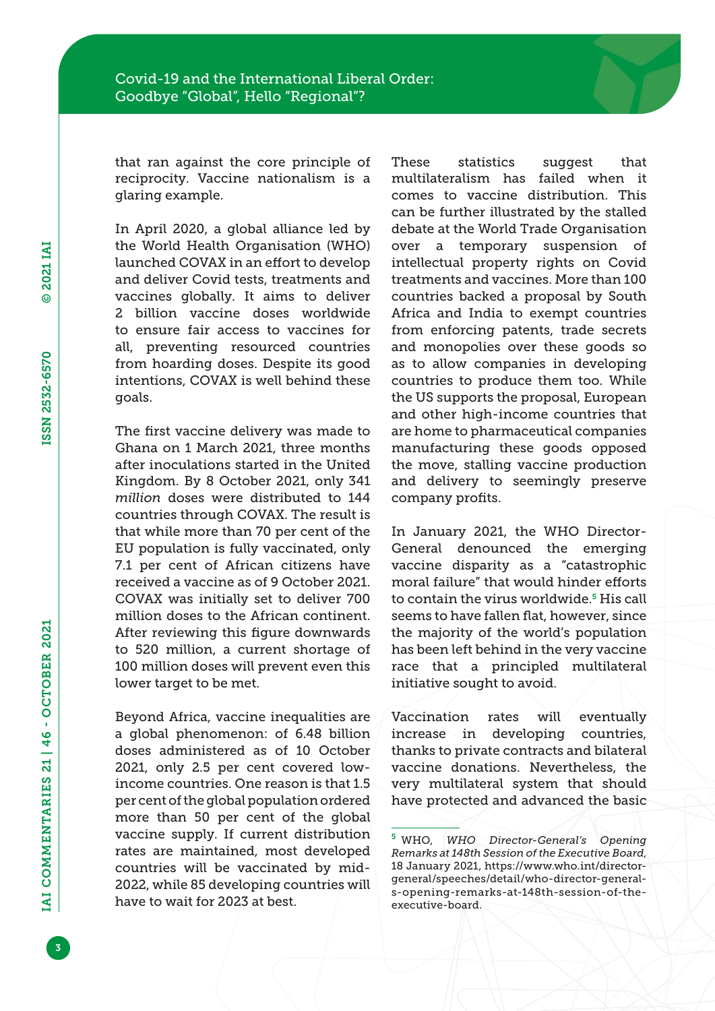that ran against the core principle of reciprocity. Vaccine nationalism is a glaring example.

In April 2020, a global alliance led by the World Health Organisation (WHO) launched COVAX in an effort to develop and deliver Covid tests, treatments and vaccines globally. It aims to deliver 2 billion vaccine doses worldwide to ensure fair access to vaccines for all, preventing resourced countries from hoarding doses. Despite its good intentions, COVAX is well behind these goals.

The first vaccine delivery was made to Ghana on 1 March 2021, three months after inoculations started in the United Kingdom. By 8 October 2021, only 341 *million* doses were distributed to 144 countries through COVAX. The result is that while more than 70 per cent of the EU population is fully vaccinated, only 7.1 per cent of African citizens have received a vaccine as of 9 October 2021. COVAX was initially set to deliver 700 million doses to the African continent. After reviewing this figure downwards to 520 million, a current shortage of 100 million doses will prevent even this lower target to be met.

Beyond Africa, vaccine inequalities are a global phenomenon: of 6.48 billion doses administered as of 10 October 2021, only 2.5 per cent covered lowincome countries. One reason is that 1.5 per cent of the global population ordered more than 50 per cent of the global vaccine supply. If current distribution rates are maintained, most developed countries will be vaccinated by mid-2022, while 85 developing countries will have to wait for 2023 at best.

These statistics suggest that multilateralism has failed when it comes to vaccine distribution. This can be further illustrated by the stalled debate at the World Trade Organisation over a temporary suspension of intellectual property rights on Covid treatments and vaccines. More than 100 countries backed a proposal by South Africa and India to exempt countries from enforcing patents, trade secrets and monopolies over these goods so as to allow companies in developing countries to produce them too. While the US supports the proposal, European and other high-income countries that are home to pharmaceutical companies manufacturing these goods opposed the move, stalling vaccine production and delivery to seemingly preserve company profits.

In January 2021, the WHO Director-General denounced the emerging vaccine disparity as a "catastrophic moral failure" that would hinder efforts to contain the virus worldwide.<sup>5</sup> His call seems to have fallen flat, however, since the majority of the world's population has been left behind in the very vaccine race that a principled multilateral initiative sought to avoid.

Vaccination rates will eventually increase in developing countries, thanks to private contracts and bilateral vaccine donations. Nevertheless, the very multilateral system that should have protected and advanced the basic

IAI COMMENTARIES 21 | 46 - OCTOBER 2021

© 2021 IAI

© 2021 IAI

ISSN 2532-6570

ISSN 2532-6570

<sup>5</sup> WHO, *WHO Director-General's Opening Remarks at 148th Session of the Executive Board*, 18 January 2021, [https://www.who.int/director](https://www.who.int/director-general/speeches/detail/who-director-general-s-opening-remarks-at-148th-session-of-the-executive-board)[general/speeches/detail/who-director-general](https://www.who.int/director-general/speeches/detail/who-director-general-s-opening-remarks-at-148th-session-of-the-executive-board)[s-opening-remarks-at-148th-session-of-the](https://www.who.int/director-general/speeches/detail/who-director-general-s-opening-remarks-at-148th-session-of-the-executive-board)[executive-board](https://www.who.int/director-general/speeches/detail/who-director-general-s-opening-remarks-at-148th-session-of-the-executive-board).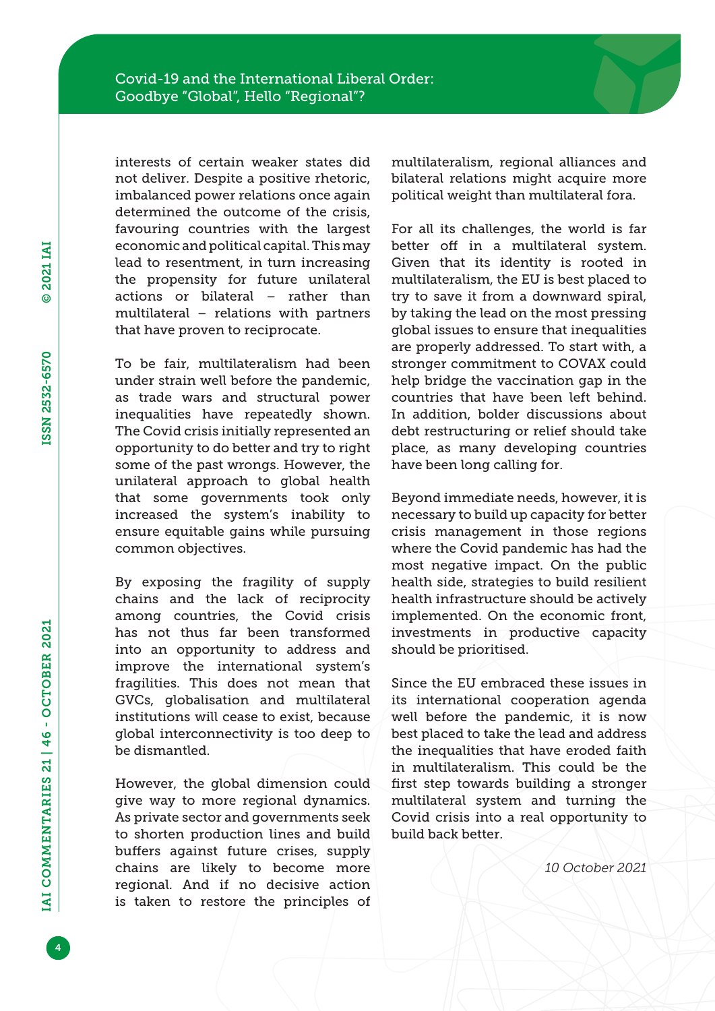interests of certain weaker states did not deliver. Despite a positive rhetoric, imbalanced power relations once again determined the outcome of the crisis, favouring countries with the largest economic and political capital. This may lead to resentment, in turn increasing the propensity for future unilateral actions or bilateral – rather than multilateral – relations with partners that have proven to reciprocate.

To be fair, multilateralism had been under strain well before the pandemic, as trade wars and structural power inequalities have repeatedly shown. The Covid crisis initially represented an opportunity to do better and try to right some of the past wrongs. However, the unilateral approach to global health that some governments took only increased the system's inability to ensure equitable gains while pursuing common objectives.

By exposing the fragility of supply chains and the lack of reciprocity among countries, the Covid crisis has not thus far been transformed into an opportunity to address and improve the international system's fragilities. This does not mean that GVCs, globalisation and multilateral institutions will cease to exist, because global interconnectivity is too deep to be dismantled.

However, the global dimension could give way to more regional dynamics. As private sector and governments seek to shorten production lines and build buffers against future crises, supply chains are likely to become more regional. And if no decisive action is taken to restore the principles of

multilateralism, regional alliances and bilateral relations might acquire more political weight than multilateral fora.

For all its challenges, the world is far better off in a multilateral system. Given that its identity is rooted in multilateralism, the EU is best placed to try to save it from a downward spiral, by taking the lead on the most pressing global issues to ensure that inequalities are properly addressed. To start with, a stronger commitment to COVAX could help bridge the vaccination gap in the countries that have been left behind. In addition, bolder discussions about debt restructuring or relief should take place, as many developing countries have been long calling for.

Beyond immediate needs, however, it is necessary to build up capacity for better crisis management in those regions where the Covid pandemic has had the most negative impact. On the public health side, strategies to build resilient health infrastructure should be actively implemented. On the economic front, investments in productive capacity should be prioritised.

Since the EU embraced these issues in its international cooperation agenda well before the pandemic, it is now best placed to take the lead and address the inequalities that have eroded faith in multilateralism. This could be the first step towards building a stronger multilateral system and turning the Covid crisis into a real opportunity to build back better.

*10 October 2021*

4